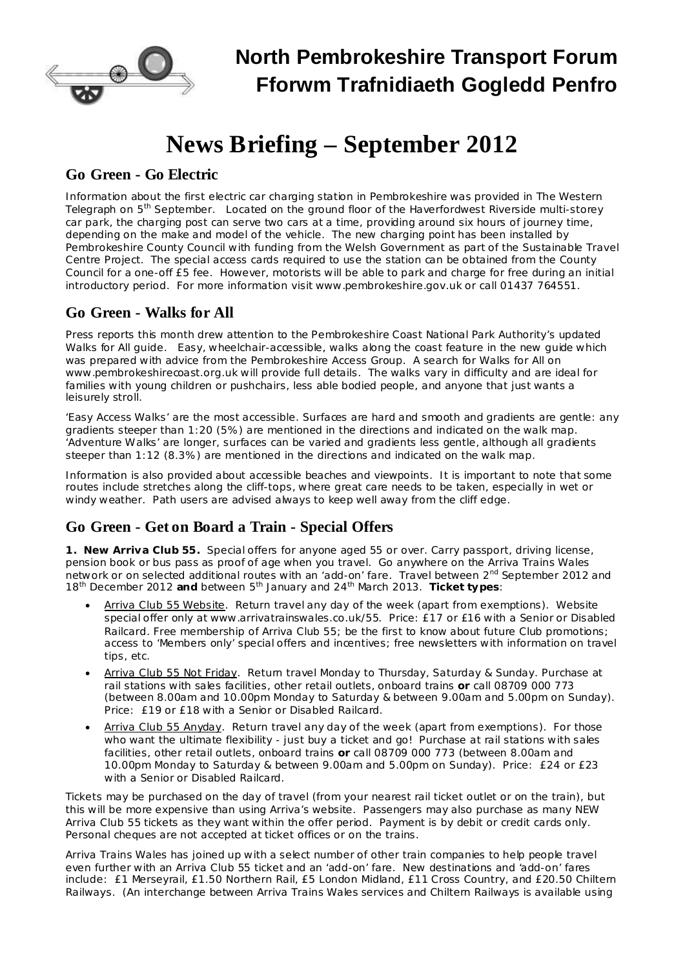

# **News Briefing – September 2012**

#### **Go Green - Go Electric**

Information about the first electric car charging station in Pembrokeshire was provided in *The Western* Telegraph on 5<sup>th</sup> September. Located on the ground floor of the Haverfordwest Riverside multi-storey car park, the charging post can serve two cars at a time, providing around six hours of journey time, depending on the make and model of the vehicle. The new charging point has been installed by Pembrokeshire County Council with funding from the Welsh Government as part of the Sustainable Travel Centre Project. The special access cards required to use the station can be obtained from the County Council for a one-off £5 fee. However, motorists will be able to park and charge for free during an initial introductory period. For more information visit [www.pembrokeshire.gov.uk](http://www.pembrokeshire.gov.uk/) or call 01437 764551.

## **Go Green - Walks for All**

Press reports this month drew attention to the Pembrokeshire Coast National Park Authority's updated Walks for All guide. Easy, wheelchair-accessible, walks along the coast feature in the new guide which was prepared with advice from the Pembrokeshire Access Group. A search for Walks for All on [www.pembrokeshirecoast.org.uk](http://www.pembrokeshirecoast.org.uk/) will provide full details. The walks vary in difficulty and are ideal for families with young children or pushchairs, less able bodied people, and anyone that just wants a leisurely stroll.

'Easy Access Walks' are the most accessible. Surfaces are hard and smooth and gradients are gentle: any gradients steeper than 1:20 (5%) are mentioned in the directions and indicated on the walk map. 'Adventure Walks' are longer, surfaces can be varied and gradients less gentle, although all gradients steeper than 1:12 (8.3%) are mentioned in the directions and indicated on the walk map.

Information is also provided about accessible beaches and viewpoints. It is important to note that some routes include stretches along the cliff-tops, where great care needs to be taken, especially in wet or windy weather. Path users are advised always to keep well away from the cliff edge.

## **Go Green - Get on Board a Train - Special Offers**

*1. New Arriva Club 55.* Special offers for anyone aged 55 or over. Carry passport, driving license, pension book or bus pass as proof of age when you travel. Go anywhere on the Arriva Trains Wales network or on selected additional routes with an 'add-on' fare. Travel between 2<sup>nd</sup> September 2012 and 18<sup>th</sup> December 2012 *and* between 5<sup>th</sup> January and 24<sup>th</sup> March 2013. *Ticket types*:

- Arriva Club 55 Website. Return travel any day of the week (apart from exemptions). Website special offer only at [www.arrivatrainswales.co.uk/55.](http://www.arrivatrainswales.co.uk/55) Price: £17 or £16 with a Senior or Disabled Railcard. Free membership of Arriva Club 55; be the first to know about future Club promotions; access to 'Members only' special offers and incentives; free newsletters with information on travel tips, etc.
- · Arriva Club 55 Not Friday. Return travel Monday to Thursday, Saturday & Sunday. Purchase at rail stations with sales facilities, other retail outlets, onboard trains *or* call 08709 000 773 (between 8.00am and 10.00pm Monday to Saturday & between 9.00am and 5.00pm on Sunday). Price: £19 or £18 with a Senior or Disabled Railcard.
- Arriva Club 55 Anyday. Return travel any day of the week (apart from exemptions). For those who want the ultimate flexibility - just buy a ticket and go! Purchase at rail stations with sales facilities, other retail outlets, onboard trains  $\alpha$  call 08709 000 773 (between 8.00am and 10.00pm Monday to Saturday & between 9.00am and 5.00pm on Sunday). Price: £24 or £23 with a Senior or Disabled Railcard.

Tickets may be purchased on the day of travel (from your nearest rail ticket outlet or on the train), but this will be more expensive than using Arriva's website. Passengers may also purchase as many NEW Arriva Club 55 tickets as they want within the offer period. Payment is by debit or credit cards only. Personal cheques are not accepted at ticket offices or on the trains.

Arriva Trains Wales has joined up with a select number of other train companies to help people travel even further with an Arriva Club 55 ticket and an 'add-on' fare. New destinations and 'add-on' fares include: £1 Merseyrail, £1.50 Northern Rail, £5 London Midland, £11 Cross Country, and £20.50 Chiltern Railways. (An interchange between Arriva Trains Wales services and Chiltern Railways is available using